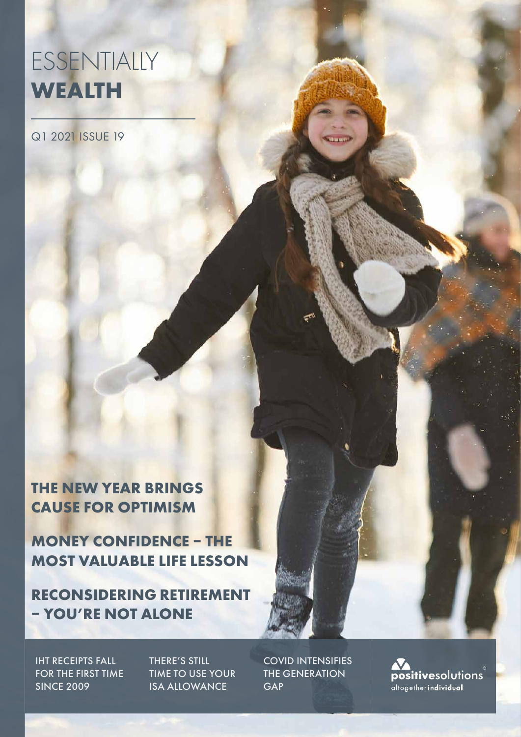# ESSENTIALLY **WEALTH**

Q1 2021 ISSUE 19

**THE NEW YEAR BRINGS CAUSE FOR OPTIMISM**

**MONEY CONFIDENCE – THE MOST VALUABLE LIFE LESSON**

**RECONSIDERING RETIREMENT – YOU'RE NOT ALONE**

IHT RECEIPTS FALL FOR THE FIRST TIME SINCE 2009

THERE'S STILL TIME TO USE YOUR ISA ALLOWANCE

COVID INTENSIFIES THE GENERATION **GAP** 

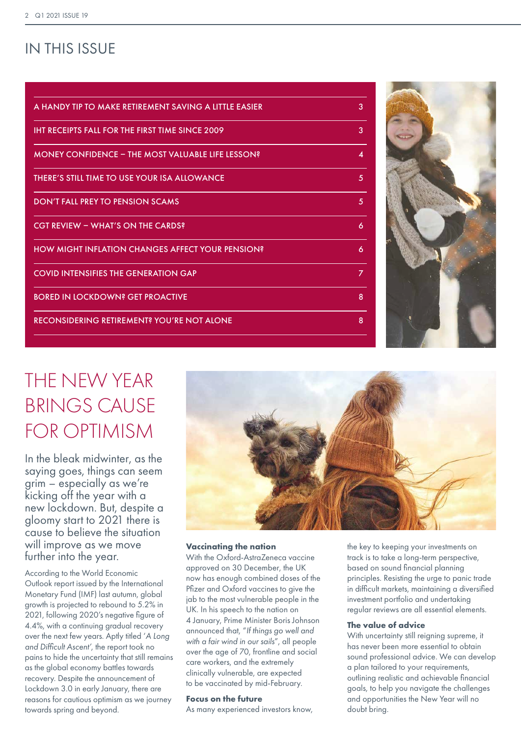## IN THIS ISSUE

| A HANDY TIP TO MAKE RETIREMENT SAVING A LITTLE EASIER    | 3              |
|----------------------------------------------------------|----------------|
| <b>IHT RECEIPTS FALL FOR THE FIRST TIME SINCE 2009</b>   | 3              |
| <b>MONEY CONFIDENCE - THE MOST VALUABLE LIFE LESSON?</b> | 4              |
| THERE'S STILL TIME TO USE YOUR ISA ALLOWANCE             | 5              |
| <b>DON'T FALL PREY TO PENSION SCAMS</b>                  | 5              |
| <b>CGT REVIEW - WHAT'S ON THE CARDS?</b>                 | 6              |
| <b>HOW MIGHT INFLATION CHANGES AFFECT YOUR PENSION?</b>  | 6              |
| <b>COVID INTENSIFIES THE GENERATION GAP</b>              | $\overline{z}$ |
| <b>BORED IN LOCKDOWN? GET PROACTIVE</b>                  | 8              |
| <b>RECONSIDERING RETIREMENT? YOU'RE NOT ALONE</b>        | 8              |
|                                                          |                |



# THE NEW YEAR BRINGS CAUSE FOR OPTIMISM

In the bleak midwinter, as the saying goes, things can seem grim – especially as we're kicking off the year with a new lockdown. But, despite a gloomy start to 2021 there is cause to believe the situation will improve as we move further into the year.

According to the World Economic Outlook report issued by the International Monetary Fund (IMF) last autumn, global growth is projected to rebound to 5.2% in 2021, following 2020's negative figure of 4.4%, with a continuing gradual recovery over the next few years. Aptly titled '*A Long and Difficult Ascent'*, the report took no pains to hide the uncertainty that still remains as the global economy battles towards recovery. Despite the announcement of Lockdown 3.0 in early January, there are reasons for cautious optimism as we journey towards spring and beyond.



#### **Vaccinating the nation**

With the Oxford-AstraZeneca vaccine approved on 30 December, the UK now has enough combined doses of the Pfizer and Oxford vaccines to give the jab to the most vulnerable people in the UK. In his speech to the nation on 4 January, Prime Minister Boris Johnson announced that, "*If things go well and with a fair wind in our sails*", all people over the age of 70, frontline and social care workers, and the extremely clinically vulnerable, are expected to be vaccinated by mid-February.

#### **Focus on the future**

As many experienced investors know,

the key to keeping your investments on track is to take a long-term perspective, based on sound financial planning principles. Resisting the urge to panic trade in difficult markets, maintaining a diversified investment portfolio and undertaking regular reviews are all essential elements.

#### **The value of advice**

With uncertainty still reigning supreme, it has never been more essential to obtain sound professional advice. We can develop a plan tailored to your requirements, outlining realistic and achievable financial goals, to help you navigate the challenges and opportunities the New Year will no doubt bring.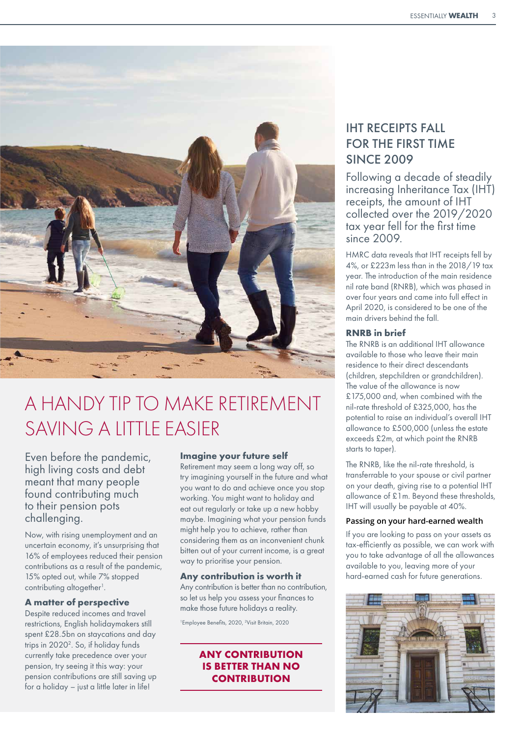

# A HANDY TIP TO MAKE RETIREMENT SAVING A LITTLE FASIER

Even before the pandemic, high living costs and debt meant that many people found contributing much to their pension pots challenging.

Now, with rising unemployment and an uncertain economy, it's unsurprising that 16% of employees reduced their pension contributions as a result of the pandemic, 15% opted out, while 7% stopped contributing altogether<sup>1</sup>.

#### **A matter of perspective**

Despite reduced incomes and travel restrictions, English holidaymakers still spent £28.5bn on staycations and day trips in 2020<sup>2</sup>. So, if holiday funds currently take precedence over your pension, try seeing it this way: your pension contributions are still saving up for a holiday – just a little later in life!

#### **Imagine your future self**

Retirement may seem a long way off, so try imagining yourself in the future and what you want to do and achieve once you stop working. You might want to holiday and eat out regularly or take up a new hobby maybe. Imagining what your pension funds might help you to achieve, rather than considering them as an inconvenient chunk bitten out of your current income, is a great way to prioritise your pension.

#### **Any contribution is worth it**

Any contribution is better than no contribution, so let us help you assess your finances to make those future holidays a reality.

<sup>1</sup>Employee Benefits, 2020, <sup>2</sup>Visit Britain, 2020

### **ANY CONTRIBUTION IS BETTER THAN NO CONTRIBUTION**

## IHT RECEIPTS FALL FOR THE FIRST TIME SINCE 2009

Following a decade of steadily increasing Inheritance Tax (IHT) receipts, the amount of IHT collected over the 2019/2020 tax year fell for the first time  $sinc<sub>e</sub>$  2009.

HMRC data reveals that IHT receipts fell by 4%, or £223m less than in the 2018/19 tax year. The introduction of the main residence nil rate band (RNRB), which was phased in over four years and came into full effect in April 2020, is considered to be one of the main drivers behind the fall.

### **RNRB in brief**

The RNRB is an additional IHT allowance available to those who leave their main residence to their direct descendants (children, stepchildren or grandchildren). The value of the allowance is now £175,000 and, when combined with the nil-rate threshold of £325,000, has the potential to raise an individual's overall IHT allowance to £500,000 (unless the estate exceeds £2m, at which point the RNRB starts to taper).

The RNRB, like the nil-rate threshold, is transferrable to your spouse or civil partner on your death, giving rise to a potential IHT allowance of £1m. Beyond these thresholds, IHT will usually be payable at 40%.

### **Passing on your hard-earned wealth**

If you are looking to pass on your assets as tax-efficiently as possible, we can work with you to take advantage of all the allowances available to you, leaving more of your hard-earned cash for future generations.

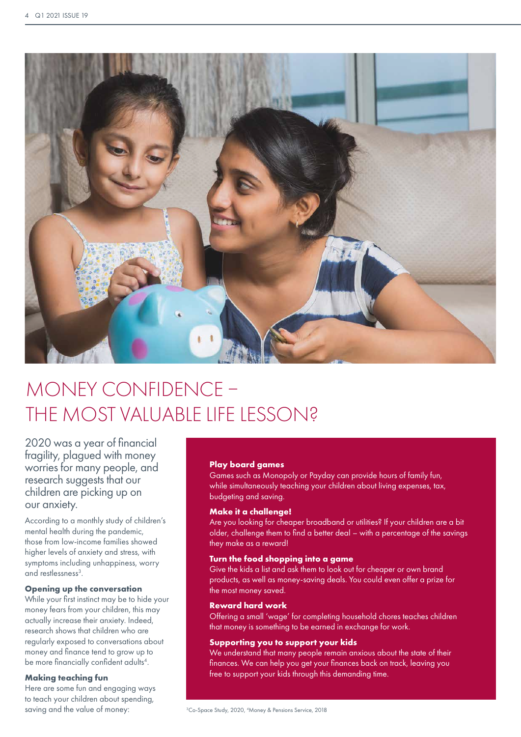

# MONEY CONFIDENCE – THE MOST VALUABLE LIFE LESSON?

2020 was a year of financial fragility, plagued with money worries for many people, and research suggests that our children are picking up on our anxiety.

According to a monthly study of children's mental health during the pandemic, those from low-income families showed higher levels of anxiety and stress, with symptoms including unhappiness, worry and restlessness<sup>3</sup>.

#### **Opening up the conversation**

While your first instinct may be to hide your money fears from your children, this may actually increase their anxiety. Indeed, research shows that children who are regularly exposed to conversations about money and finance tend to grow up to be more financially confident adults<sup>4</sup>.

### **Making teaching fun**

Here are some fun and engaging ways to teach your children about spending, saving and the value of money:

#### **Play board games**

Games such as Monopoly or Payday can provide hours of family fun, while simultaneously teaching your children about living expenses, tax, budgeting and saving.

#### **Make it a challenge!**

Are you looking for cheaper broadband or utilities? If your children are a bit older, challenge them to find a better deal – with a percentage of the savings they make as a reward!

#### **Turn the food shopping into a game**

Give the kids a list and ask them to look out for cheaper or own brand products, as well as money-saving deals. You could even offer a prize for the most money saved.

#### **Reward hard work**

Offering a small 'wage' for completing household chores teaches children that money is something to be earned in exchange for work.

#### **Supporting you to support your kids**

We understand that many people remain anxious about the state of their finances. We can help you get your finances back on track, leaving you free to support your kids through this demanding time.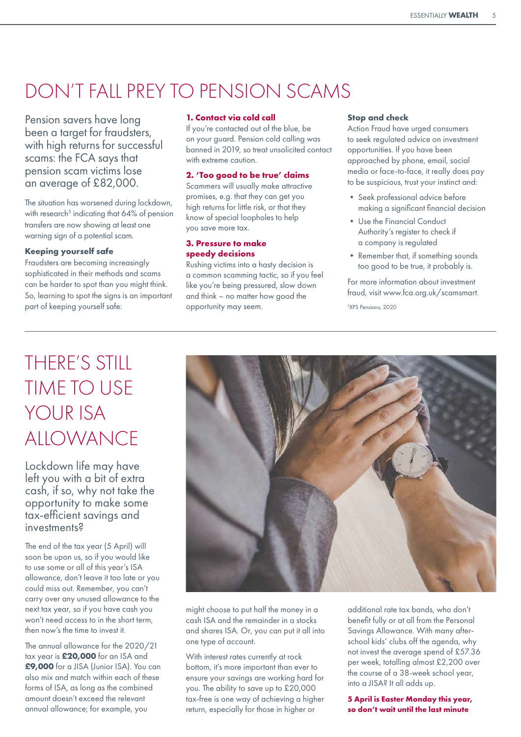# DON'T FALL PREY TO PENSION SCAMS

Pension savers have long been a target for fraudsters, with high returns for successful scams: the FCA says that pension scam victims lose an average of £82,000.

The situation has worsened during lockdown, with research<sup>5</sup> indicating that 64% of pension transfers are now showing at least one warning sign of a potential scam.

#### **Keeping yourself safe**

Fraudsters are becoming increasingly sophisticated in their methods and scams can be harder to spot than you might think. So, learning to spot the signs is an important part of keeping yourself safe:

#### **1. Contact via cold call**

If you're contacted out of the blue, be on your guard. Pension cold calling was banned in 2019, so treat unsolicited contact with extreme caution

### **2. 'Too good to be true' claims**

Scammers will usually make attractive promises, e.g. that they can get you high returns for little risk, or that they know of special loopholes to help you save more tax.

#### **3. Pressure to make speedy decisions**

Rushing victims into a hasty decision is a common scamming tactic, so if you feel like you're being pressured, slow down and think – no matter how good the opportunity may seem.

#### **Stop and check**

Action Fraud have urged consumers to seek regulated advice on investment opportunities. If you have been approached by phone, email, social media or face-to-face, it really does pay to be suspicious, trust your instinct and:

- Seek professional advice before making a significant financial decision
- Use the Financial Conduct Authority's register to check if a company is regulated
- Remember that, if something sounds too good to be true, it probably is.

For more information about investment fraud, visit www.fca.org.uk/scamsmart.

5 XPS Pensions, 2020

# THERE'S STILL TIME TO USE YOUR ISA ALLOWANCE

Lockdown life may have left you with a bit of extra cash, if so, why not take the opportunity to make some tax-efficient savings and investments?

The end of the tax year (5 April) will soon be upon us, so if you would like to use some or all of this year's ISA allowance, don't leave it too late or you could miss out. Remember, you can't carry over any unused allowance to the next tax year, so if you have cash you won't need access to in the short term, then now's the time to invest it.

The annual allowance for the 2020/21 tax year is **£20,000** for an ISA and **£9,000** for a JISA (Junior ISA). You can also mix and match within each of these forms of ISA, as long as the combined amount doesn't exceed the relevant annual allowance; for example, you



might choose to put half the money in a cash ISA and the remainder in a stocks and shares ISA. Or, you can put it all into one type of account.

With interest rates currently at rock bottom, it's more important than ever to ensure your savings are working hard for you. The ability to save up to £20,000 tax-free is one way of achieving a higher return, especially for those in higher or

additional rate tax bands, who don't benefit fully or at all from the Personal Savings Allowance. With many afterschool kids' clubs off the agenda, why not invest the average spend of £57.36 per week, totalling almost £2,200 over the course of a 38-week school year, into a JISA? It all adds up.

**5 April is Easter Monday this year, so don't wait until the last minute**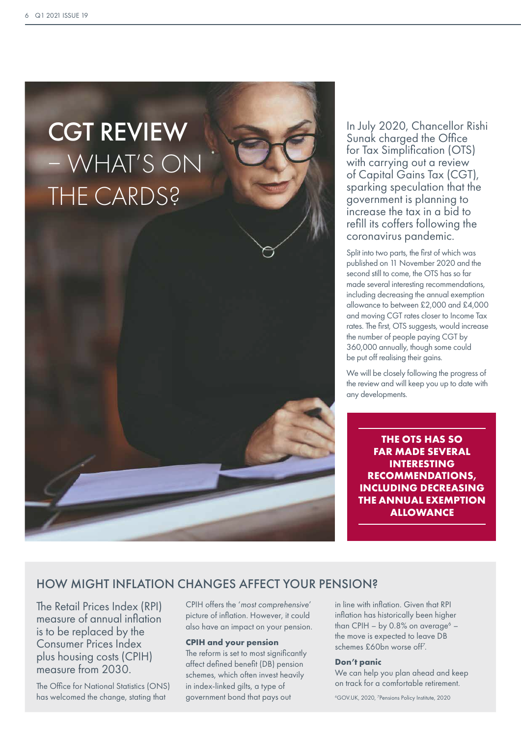

In July 2020, Chancellor Rishi Sunak charged the Office for Tax Simplification (OTS) with carrying out a review of Capital Gains Tax (CGT), sparking speculation that the government is planning to increase the tax in a bid to refill its coffers following the coronavirus pandemic.

Split into two parts, the first of which was published on 11 November 2020 and the second still to come, the OTS has so far made several interesting recommendations, including decreasing the annual exemption allowance to between £2,000 and £4,000 and moving CGT rates closer to Income Tax rates. The first, OTS suggests, would increase the number of people paying CGT by 360,000 annually, though some could be put off realising their gains.

We will be closely following the progress of the review and will keep you up to date with any developments.

**THE OTS HAS SO FAR MADE SEVERAL INTERESTING RECOMMENDATIONS, INCLUDING DECREASING THE ANNUAL EXEMPTION ALLOWANCE**

### HOW MIGHT INFLATION CHANGES AFFECT YOUR PENSION?

The Retail Prices Index (RPI) measure of annual inflation is to be replaced by the Consumer Prices Index plus housing costs (CPIH) measure from 2030.

The Office for National Statistics (ONS) has welcomed the change, stating that

CPIH offers the '*most comprehensive*' picture of inflation. However, it could also have an impact on your pension.

#### **CPIH and your pension**

The reform is set to most significantly affect defined benefit (DB) pension schemes, which often invest heavily in index-linked gilts, a type of government bond that pays out

in line with inflation. Given that RPI inflation has historically been higher than CPIH – by 0.8% on average $6$ the move is expected to leave DB schemes £60bn worse off<sup>7</sup>.

#### **Don't panic**

We can help you plan ahead and keep on track for a comfortable retirement.

6 GOV.UK, 2020, 7 Pensions Policy Institute, 2020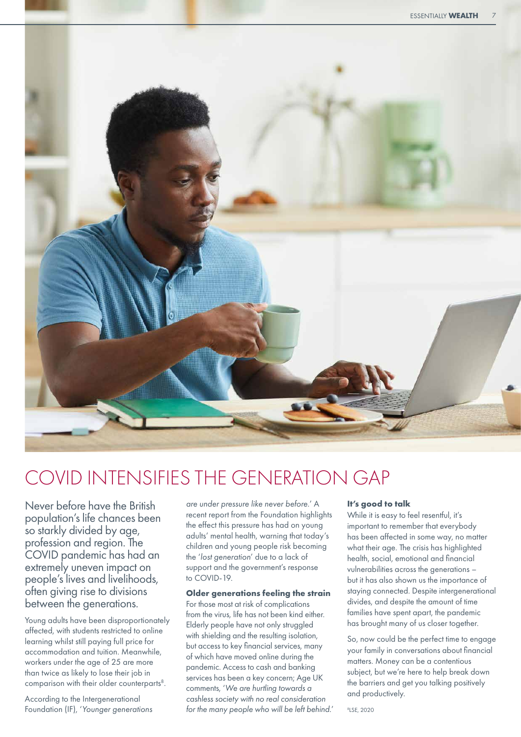

# COVID INTENSIFIES THE GENERATION GAP

Never before have the British population's life chances been so starkly divided by age, profession and region. The COVID pandemic has had an extremely uneven impact on people's lives and livelihoods, often giving rise to divisions between the generations.

Young adults have been disproportionately affected, with students restricted to online learning whilst still paying full price for accommodation and tuition. Meanwhile, workers under the age of 25 are more than twice as likely to lose their job in comparison with their older counterparts<sup>8</sup>.

According to the Intergenerational Foundation (IF), '*Younger generations*  *are under pressure like never before.*' A recent report from the Foundation highlights the effect this pressure has had on young adults' mental health, warning that today's children and young people risk becoming the '*lost generation*' due to a lack of support and the government's response to COVID-19.

#### **Older generations feeling the strain**

For those most at risk of complications from the virus, life has not been kind either. Elderly people have not only struggled with shielding and the resulting isolation, but access to key financial services, many of which have moved online during the pandemic. Access to cash and banking services has been a key concern; Age UK comments, '*We are hurtling towards a cashless society with no real consideration for the many people who will be left behind.*'

#### **It's good to talk**

While it is easy to feel resentful, it's important to remember that everybody has been affected in some way, no matter what their age. The crisis has highlighted health, social, emotional and financial vulnerabilities across the generations – but it has also shown us the importance of staying connected. Despite intergenerational divides, and despite the amount of time families have spent apart, the pandemic has brought many of us closer together.

So, now could be the perfect time to engage your family in conversations about financial matters. Money can be a contentious subject, but we're here to help break down the barriers and get you talking positively and productively.

8 LSE, 2020